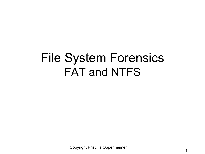### File System Forensics FAT and NTFS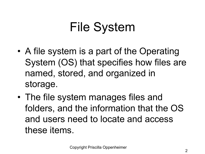# File System

- A file system is a part of the Operating System (OS) that specifies how files are named, stored, and organized in storage.
- The file system manages files and folders, and the information that the OS and users need to locate and access these items.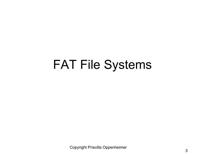### FAT File Systems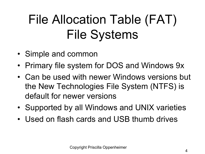# File Allocation Table (FAT) File Systems

- Simple and common
- Primary file system for DOS and Windows 9x
- Can be used with newer Windows versions but the New Technologies File System (NTFS) is default for newer versions
- Supported by all Windows and UNIX varieties
- Used on flash cards and USB thumb drives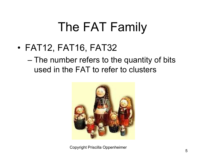# The FAT Family

• FAT12, FAT16, FAT32

– The number refers to the quantity of bits used in the FAT to refer to clusters

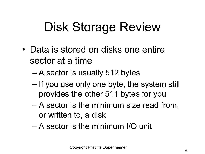# Disk Storage Review

- Data is stored on disks one entire sector at a time
	- A sector is usually 512 bytes
	- If you use only one byte, the system still provides the other 511 bytes for you
	- A sector is the minimum size read from, or written to, a disk
	- A sector is the minimum I/O unit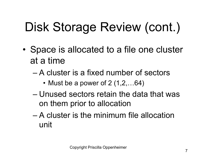# Disk Storage Review (cont.)

- Space is allocated to a file one cluster at a time
	- A cluster is a fixed number of sectors
		- Must be a power of  $2(1,2,...64)$
	- Unused sectors retain the data that was on them prior to allocation
	- A cluster is the minimum file allocation unit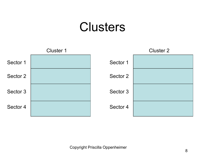### **Clusters**

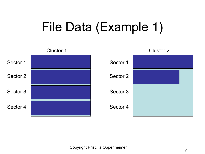# File Data (Example 1)

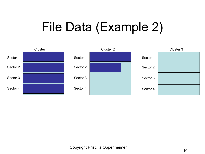# File Data (Example 2)

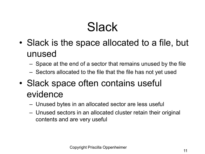### **Slack**

- Slack is the space allocated to a file, but unused
	- Space at the end of a sector that remains unused by the file
	- Sectors allocated to the file that the file has not yet used
- Slack space often contains useful evidence
	- Unused bytes in an allocated sector are less useful
	- Unused sectors in an allocated cluster retain their original contents and are very useful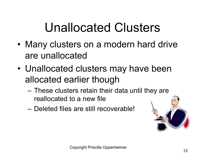### Unallocated Clusters

- Many clusters on a modern hard drive are unallocated
- Unallocated clusters may have been allocated earlier though
	- These clusters retain their data until they are reallocated to a new file
	- Deleted files are still recoverable!

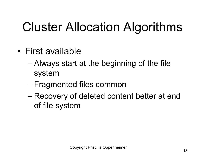# Cluster Allocation Algorithms

- First available
	- Always start at the beginning of the file system
	- Fragmented files common
	- Recovery of deleted content better at end of file system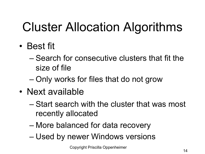# Cluster Allocation Algorithms

- Best fit
	- Search for consecutive clusters that fit the size of file
	- Only works for files that do not grow
- Next available
	- Start search with the cluster that was most recently allocated
	- More balanced for data recovery
	- Used by newer Windows versions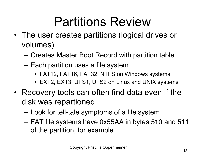### Partitions Review

- The user creates partitions (logical drives or volumes)
	- Creates Master Boot Record with partition table
	- Each partition uses a file system
		- FAT12, FAT16, FAT32, NTFS on Windows systems
		- EXT2, EXT3, UFS1, UFS2 on Linux and UNIX systems
- Recovery tools can often find data even if the disk was repartioned
	- Look for tell-tale symptoms of a file system
	- FAT file systems have 0x55AA in bytes 510 and 511 of the partition, for example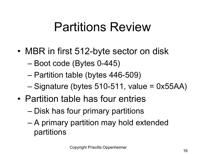### Partitions Review

- MBR in first 512-byte sector on disk
	- Boot code (Bytes 0-445)
	- Partition table (bytes 446-509)
	- Signature (bytes 510-511, value = 0x55AA)
- Partition table has four entries
	- Disk has four primary partitions
	- A primary partition may hold extended partitions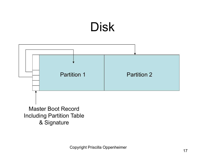### Disk

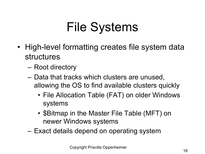# File Systems

- High-level formatting creates file system data structures
	- Root directory
	- Data that tracks which clusters are unused, allowing the OS to find available clusters quickly
		- File Allocation Table (FAT) on older Windows systems
		- \$Bitmap in the Master File Table (MFT) on newer Windows systems
	- Exact details depend on operating system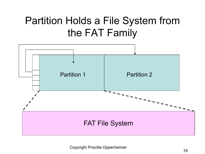### Partition Holds a File System from the FAT Family

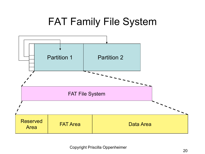#### FAT Family File System

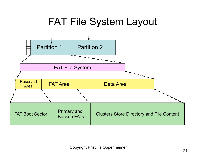#### FAT File System Layout

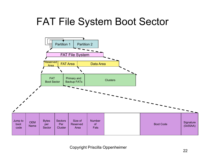#### FAT File System Boot Sector

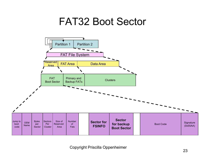#### FAT32 Boot Sector

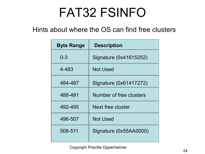### FAT32 FSINFO

#### Hints about where the OS can find free clusters

| <b>Byte Range</b> | <b>Description</b>            |
|-------------------|-------------------------------|
| $0 - 3$           | Signature (0x41615252)        |
| 4-483             | <b>Not Used</b>               |
| 484-487           | <b>Signature (0x61417272)</b> |
| 488-491           | Number of free clusters       |
| 492-495           | Next free cluster             |
| 496-507           | <b>Not Used</b>               |
| 508-511           | Signature (0x55AA0000)        |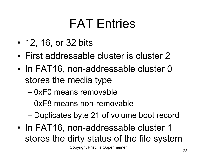### FAT Entries

- 12, 16, or 32 bits
- First addressable cluster is cluster 2
- In FAT16, non-addressable cluster 0 stores the media type
	- 0xF0 means removable
	- 0xF8 means non-removable
	- Duplicates byte 21 of volume boot record
- In FAT16, non-addressable cluster 1 stores the dirty status of the file system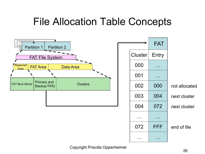#### File Allocation Table Concepts

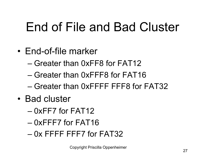### End of File and Bad Cluster

- End-of-file marker
	- Greater than 0xFF8 for FAT12
	- Greater than 0xFFF8 for FAT16
	- Greater than 0xFFFF FFF8 for FAT32
- Bad cluster
	- 0xFF7 for FAT12
	- 0xFFF7 for FAT16
	- $-$  0x FFFF FFF7 for FAT32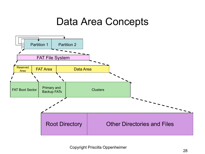#### Data Area Concepts

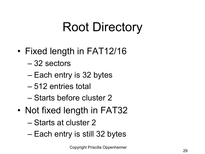# Root Directory

- Fixed length in FAT12/16
	- 32 sectors
	- Each entry is 32 bytes
	- 512 entries total
	- Starts before cluster 2
- Not fixed length in FAT32
	- Starts at cluster 2
	- Each entry is still 32 bytes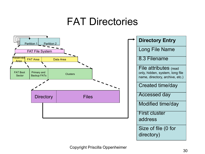#### FAT Directories

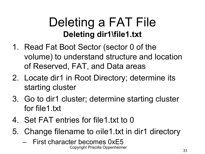### Deleting a FAT File **Deleting dir1\file1.txt**

- 1. Read Fat Boot Sector (sector 0 of the volume) to understand structure and location of Reserved, FAT, and Data areas
- 2. Locate dir1 in Root Directory; determine its starting cluster
- 3. Go to dir1 cluster; determine starting cluster for file1.txt
- 4. Set FAT entries for file1.txt to 0
- 5. Change filename to  $\sigma$ ile1.txt in dir1 directory
	- First character becomes 0xE5 Copyright Priscilla Oppenheimer 31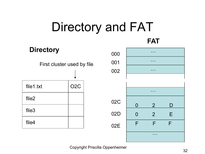# Directory and FAT

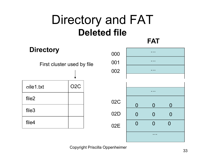### Directory and FAT **Deleted file**

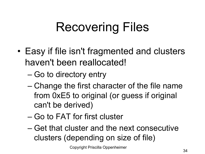# Recovering Files

- Easy if file isn't fragmented and clusters haven't been reallocated!
	- Go to directory entry
	- Change the first character of the file name from 0xE5 to original (or guess if original can't be derived)
	- Go to FAT for first cluster
	- Get that cluster and the next consecutive clusters (depending on size of file)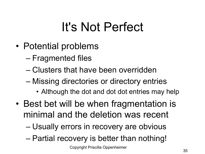### It's Not Perfect

- Potential problems
	- Fragmented files
	- Clusters that have been overridden
	- Missing directories or directory entries
		- Although the dot and dot dot entries may help
- Best bet will be when fragmentation is minimal and the deletion was recent
	- Usually errors in recovery are obvious
	- Partial recovery is better than nothing!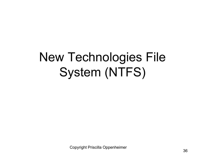# New Technologies File System (NTFS)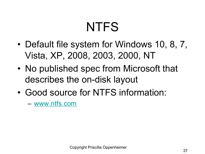# **NTFS**

- Default file system for Windows 10, 8 Vista, XP, 2008, 2003, 2000, NT
- No published spec from Microsoft that describes the on-disk layout
- Good source for NTFS information:

– www.ntfs.com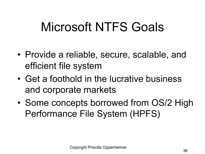### Microsoft NTFS Goals

- Provide a reliable, secure, scalable, and efficient file system
- Get a foothold in the lucrative business and corporate markets
- Some concepts borrowed from OS/2 High Performance File System (HPFS)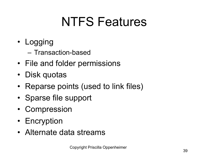## NTFS Features

- Logging
	- Transaction-based
- File and folder permissions
- Disk quotas
- Reparse points (used to link files)
- Sparse file support
- Compression
- Encryption
- Alternate data streams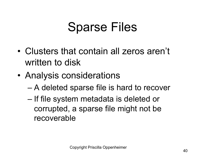#### Sparse Files

- Clusters that contain all zeros aren't written to disk
- Analysis considerations
	- A deleted sparse file is hard to recover
	- If file system metadata is deleted or corrupted, a sparse file might not be recoverable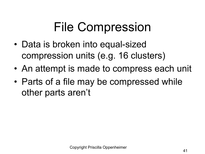## File Compression

- Data is broken into equal-sized compression units (e.g. 16 clusters)
- An attempt is made to compress each unit
- Parts of a file may be compressed while other parts aren't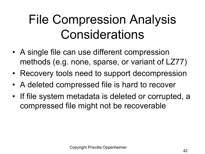## File Compression Analysis **Considerations**

- A single file can use different compression methods (e.g. none, sparse, or variant of LZ77)
- Recovery tools need to support decompression
- A deleted compressed file is hard to recover
- If file system metadata is deleted or corrupted, a compressed file might not be recoverable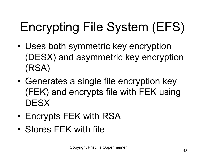# Encrypting File System (EFS)

- Uses both symmetric key encryption (DESX) and asymmetric key encryption (RSA)
- Generates a single file encryption key (FEK) and encrypts file with FEK using **DESX**
- Encrypts FEK with RSA
- Stores FEK with file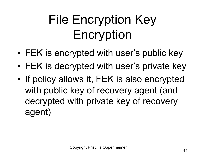# File Encryption Key Encryption

- FEK is encrypted with user's public key
- FEK is decrypted with user's private key
- If policy allows it, FEK is also encrypted with public key of recovery agent (and decrypted with private key of recovery agent)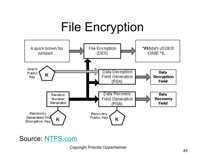

#### Source: NTFS.com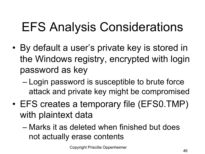## EFS Analysis Considerations

- By default a user's private key is stored in the Windows registry, encrypted with login password as key
	- Login password is susceptible to brute force attack and private key might be compromised
- EFS creates a temporary file (EFS0.TMP) with plaintext data
	- Marks it as deleted when finished but does not actually erase contents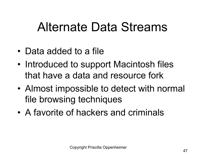#### Alternate Data Streams

- Data added to a file
- Introduced to support Macintosh files that have a data and resource fork
- Almost impossible to detect with normal file browsing techniques
- A favorite of hackers and criminals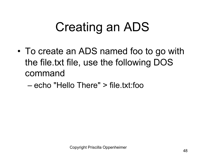### Creating an ADS

- To create an ADS named foo to go with the file.txt file, use the following DOS command
	- echo "Hello There" > file.txt:foo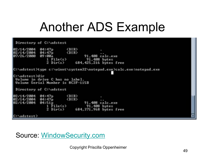#### Another ADS Example

Directory of C:\adstest 02/14/2004 04:47p  $\langle DIR \rangle$ ٠ <DIR> 02/14/2004 04:47p 07/26/2000 09:00a 91,408 calc.exe 91.408 bytes 1 File(s) 2 Dir(s) 684, 425, 216 hytes free C:\adstest>type c:\winnt\system32\notepad.exe>calc.exe:notepad.exe ۰ C:\adstest>dir Volume in drive C has no label. **Uolume Serial Number is 8C3F-115B** Directory of C:\adstest <DIR><br><DIR> 02/14/2004 04:47p 02/14/2004 04:47p 04:51p 02/14/2004 91,408 calc.exe 1 File(s) 91,408 bytes 2 684,371,968 bytes free Dir(s) C:\adstest>

#### Source: WindowSecurity.com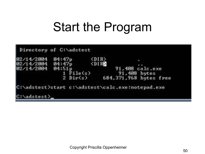#### Start the Program

| Directory of C:\adstest                          |            |                      |                        |  |
|--------------------------------------------------|------------|----------------------|------------------------|--|
| 02/14/2004                                       | 04:47p     | <dir></dir>          |                        |  |
| 02/14/2004 04:47p                                |            | $\langle DIR\rangle$ |                        |  |
| 02/14/2004 04:51p                                |            |                      | 91.408 calc.exe        |  |
|                                                  | File(s)    |                      | 91,408 bytes           |  |
|                                                  | $2$ Dir(s) |                      | 684,371,968 bytes free |  |
| C:\adstest>start c:\adstest\calc.exe:notepad.exe |            |                      |                        |  |
| C:\adstest>                                      |            |                      |                        |  |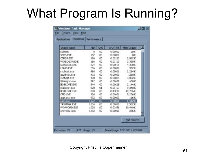### What Program Is Running?

| Applications Processes Derformance |            |           |                 |                    |
|------------------------------------|------------|-----------|-----------------|--------------------|
| <b>Briage Name</b>                 | FID.       | <b>GU</b> | <b>CFU Time</b> | Men Usage          |
| System                             | 酒          | 00        | 0:00:52         | 20K                |
| SMSS, EXE                          | 152        | OO.       | 0:00:00         | 0K                 |
| CSRSS FXF                          | 176        | 00        | 0:02:33         | 2,012K             |
| <b>WINLOGON.EXE</b>                | 196        | 00        | 0:01:10         | 3,368K             |
| SERVICES EXE                       | 224        | $^{00}$   | 0:00:15         | 4,300K             |
| <b>LSASS.EXE</b>                   | 236        | 00        | 0:00:04         | 932 K              |
| sychost.exe                        | 416        | 00        | 0:00:01         | 2,264 K            |
| abiZevick.eve                      | 472        | 00        | 0:00:00         | 26BK               |
| sychost.exe                        | 488        | 00        | 0:0006          | 3,832K             |
| WinManit.exe                       | 512        | 00        | 0.00.08         | 408 K              |
| EXPLORE EXE                        | 544        | '00       | 0:00:28         | 2,144k             |
| explorer.exe                       | 828        | O1        | 0.01:17         | 9,34BK             |
| <b>IEIPLORE.EXE</b>                | <b>BBB</b> | 00        | 0.13:38         | 19,736 K           |
| CHO EXE                            | 936        | 00        | 0:00:01         | 5,236K             |
| abptace.mm                         | 972        | 00        | 0:00:00         | 116K               |
| calc.exe -                         | 1172       | 60        | 0:00:01         | 1,512K             |
| TASKMGR.EVE                        | 1204       | CO.       | 0:00:00         | 2,532 K            |
| WINWORD EXE                        | 1228       | OO.       | 0:03:56         | 10,440 K           |
| sndvnlS2.accs                      | 1232       | 10O       | 0:00:00         | 236 E              |
|                                    |            |           |                 | <b>End Process</b> |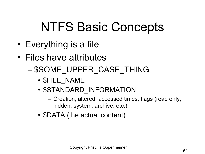### NTFS Basic Concepts

- Everything is a file
- Files have attributes
	- \$SOME\_UPPER\_CASE\_THING
		- \$FILE\_NAME
		- \$STANDARD INFORMATION
			- Creation, altered, accessed times; flags (read only, hidden, system, archive, etc.)
		- \$DATA (the actual content)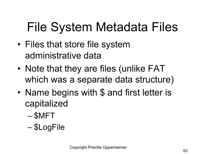# File System Metadata Files

- Files that store file system administrative data
- Note that they are files (unlike FAT which was a separate data structure)
- Name begins with \$ and first letter is capitalized
	- \$MFT
	- \$LogFile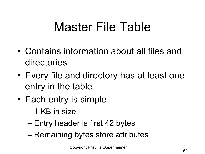### Master File Table

- Contains information about all files and directories
- Every file and directory has at least one entry in the table
- Each entry is simple
	- 1 KB in size
	- Entry header is first 42 bytes
	- Remaining bytes store attributes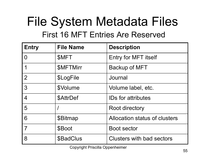#### File System Metadata Files First 16 MFT Entries Are Reserved

| <b>Entry</b>   | <b>File Name</b> | <b>Description</b>            |
|----------------|------------------|-------------------------------|
| 0              | <b>SMFT</b>      | <b>Entry for MFT itself</b>   |
| 1              | <b>\$MFTMirr</b> | <b>Backup of MFT</b>          |
| $\overline{2}$ | \$LogFile        | Journal                       |
| 3              | \$Volume         | Volume label, etc.            |
| 4              | \$AttrDef        | <b>IDs for attributes</b>     |
| 5              |                  | Root directory                |
| 6              | \$Bitmap         | Allocation status of clusters |
| $\overline{7}$ | \$Boot           | <b>Boot sector</b>            |
| 8              | \$BadClus        | Clusters with bad sectors     |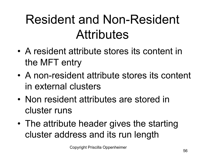### Resident and Non-Resident **Attributes**

- A resident attribute stores its content in the MFT entry
- A non-resident attribute stores its content in external clusters
- Non resident attributes are stored in cluster runs
- The attribute header gives the starting cluster address and its run length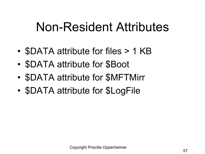#### Non-Resident Attributes

- **\$DATA attribute for files > 1 KB**
- \$DATA attribute for \$Boot
- \$DATA attribute for \$MFTMirr
- **\$DATA attribute for \$LogFile**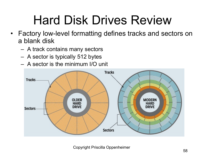## Hard Disk Drives Review

- Factory low-level formatting defines tracks and sectors on a blank disk
	- A track contains many sectors
	- A sector is typically 512 bytes
	- A sector is the minimum I/O unit

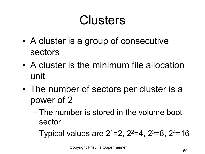### **Clusters**

- A cluster is a group of consecutive sectors
- A cluster is the minimum file allocation unit
- The number of sectors per cluster is a power of 2
	- The number is stored in the volume boot sector
	- $-$  Typical values are 2<sup>1</sup>=2, 2<sup>2</sup>=4, 2<sup>3</sup>=8, 2<sup>4</sup>=16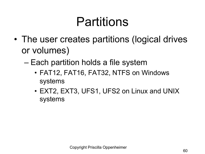### Partitions

- The user creates partitions (logical drives or volumes)
	- Each partition holds a file system
		- FAT12, FAT16, FAT32, NTFS on Windows systems
		- EXT2, EXT3, UFS1, UFS2 on Linux and UNIX systems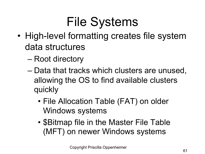# File Systems

- High-level formatting creates file system data structures
	- Root directory
	- Data that tracks which clusters are unused, allowing the OS to find available clusters quickly
		- File Allocation Table (FAT) on older Windows systems
		- \$Bitmap file in the Master File Table (MFT) on newer Windows systems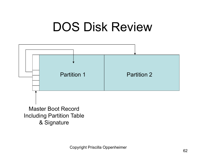#### DOS Disk Review

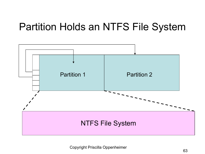#### Partition Holds an NTFS File System

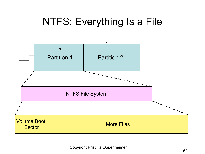#### NTFS: Everything Is a File

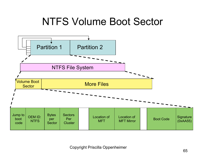#### NTFS Volume Boot Sector

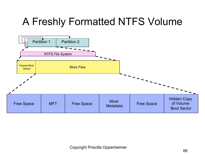#### A Freshly Formatted NTFS Volume

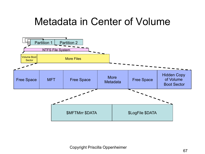#### Metadata in Center of Volume

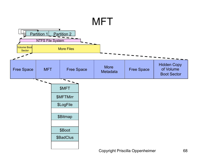#### **MFT** 而 Partition 1 Partition 2 **NTFS File System** Volume Boot lume Boot<br>Sector Nore Files Hidden Copy MFT | Free Space | More of Volume Free Space Free Space Boot Sector \$MFT \$MFTMirr \$LogFile \$Bitmap \$Boot \$BadClus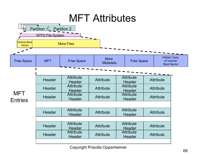#### MFT Attributes

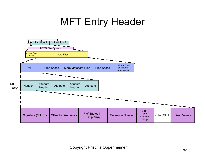#### MFT Entry Header

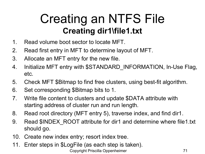#### Creating an NTFS File **Creating dir1\file1.txt**

- 1. Read volume boot sector to locate MFT.
- 2. Read first entry in MFT to determine layout of MFT.
- 3. Allocate an MFT entry for the new file.
- 4. Initialize MFT entry with \$STANDARD\_INFORMATION, In-Use Flag, etc.
- 5. Check MFT \$Bitmap to find free clusters, using best-fit algorithm.
- 6. Set corresponding \$Bitmap bits to 1.
- 7. Write file content to clusters and update \$DATA attribute with starting address of cluster run and run length.
- 8. Read root directory (MFT entry 5), traverse index, and find dir1.
- 9. Read \$INDEX ROOT attribute for dir1 and determine where file1.txt should go.
- 10. Create new index entry; resort index tree.
- 11. Enter steps in \$LogFile (as each step is taken).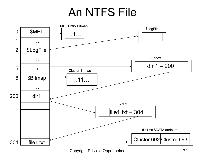#### An NTFS File

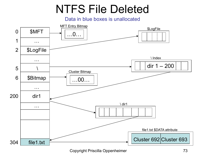## NTFS File Deleted

Data in blue boxes is unallocated



Copyright Priscilla Oppenheimer 73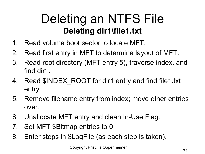## Deleting an NTFS File **Deleting dir1\file1.txt**

- 1. Read volume boot sector to locate MFT.
- 2. Read first entry in MFT to determine layout of MFT.
- 3. Read root directory (MFT entry 5), traverse index, and find dir1.
- 4. Read \$INDEX ROOT for dir1 entry and find file1.txt entry.
- 5. Remove filename entry from index; move other entries over.
- 6. Unallocate MFT entry and clean In-Use Flag.
- 7. Set MFT \$Bitmap entries to 0.
- 8. Enter steps in \$LogFile (as each step is taken).